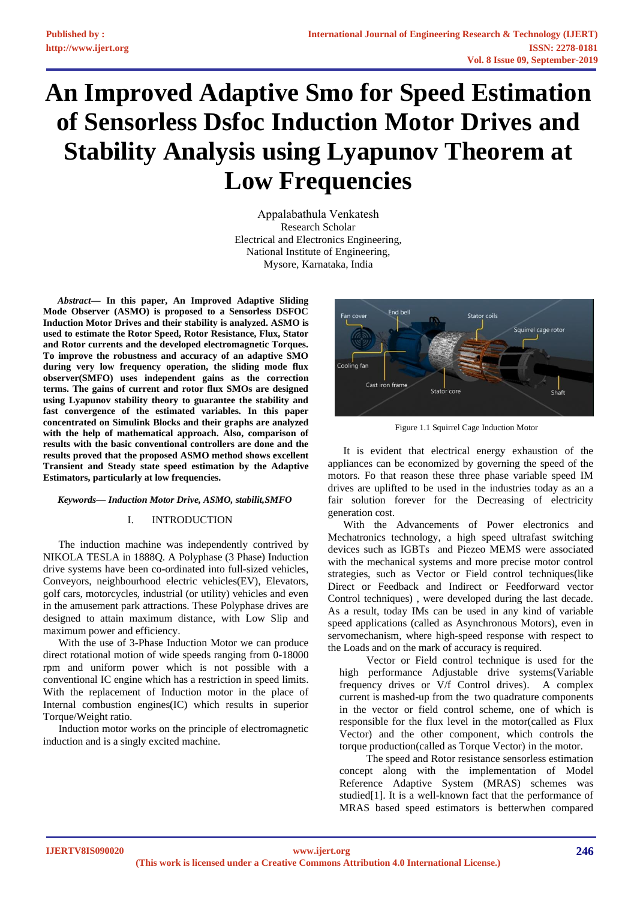# **An Improved Adaptive Smo for Speed Estimation of Sensorless Dsfoc Induction Motor Drives and Stability Analysis using Lyapunov Theorem at Low Frequencies**

Appalabathula Venkatesh Research Scholar Electrical and Electronics Engineering, National Institute of Engineering, Mysore, Karnataka, India

*Abstract***— In this paper, An Improved Adaptive Sliding Mode Observer (ASMO) is proposed to a Sensorless DSFOC Induction Motor Drives and their stability is analyzed. ASMO is used to estimate the Rotor Speed, Rotor Resistance, Flux, Stator and Rotor currents and the developed electromagnetic Torques. To improve the robustness and accuracy of an adaptive SMO during very low frequency operation, the sliding mode flux observer(SMFO) uses independent gains as the correction terms. The gains of current and rotor flux SMOs are designed using Lyapunov stability theory to guarantee the stability and fast convergence of the estimated variables. In this paper concentrated on Simulink Blocks and their graphs are analyzed with the help of mathematical approach. Also, comparison of results with the basic conventional controllers are done and the results proved that the proposed ASMO method shows excellent Transient and Steady state speed estimation by the Adaptive Estimators, particularly at low frequencies.**

## *Keywords— Induction Motor Drive, ASMO, stabilit,SMFO*

## I. INTRODUCTION

The induction machine was independently contrived by NIKOLA TESLA in 1888Q. A Polyphase (3 Phase) Induction drive systems have been co-ordinated into full-sized vehicles, Conveyors, neighbourhood electric vehicles(EV), Elevators, golf cars, motorcycles, industrial (or utility) vehicles and even in the amusement park attractions. These Polyphase drives are designed to attain maximum distance, with Low Slip and maximum power and efficiency.

With the use of 3-Phase Induction Motor we can produce direct rotational motion of wide speeds ranging from 0-18000 rpm and uniform power which is not possible with a conventional IC engine which has a restriction in speed limits. With the replacement of Induction motor in the place of Internal combustion engines(IC) which results in superior Torque/Weight ratio.

Induction motor works on the principle of electromagnetic induction and is a singly excited machine.



Figure 1.1 Squirrel Cage Induction Motor

It is evident that electrical energy exhaustion of the appliances can be economized by governing the speed of the motors. Fo that reason these three phase variable speed IM drives are uplifted to be used in the industries today as an a fair solution forever for the Decreasing of electricity generation cost.

With the Advancements of Power electronics and Mechatronics technology, a high speed ultrafast switching devices such as IGBTs and Piezeo MEMS were associated with the mechanical systems and more precise motor control strategies, such as Vector or Field control techniques(like Direct or Feedback and Indirect or Feedforward vector Control techniques) , were developed during the last decade. As a result, today IMs can be used in any kind of variable speed applications (called as Asynchronous Motors), even in servomechanism, where high-speed response with respect to the Loads and on the mark of accuracy is required.

Vector or Field control technique is used for the high performance Adjustable drive systems(Variable frequency drives or V/f Control drives). A complex current is mashed-up from the two quadrature components in the vector or field control scheme, one of which is responsible for the flux level in the motor(called as Flux Vector) and the other component, which controls the torque production(called as Torque Vector) in the motor.

The speed and Rotor resistance sensorless estimation concept along with the implementation of Model Reference Adaptive System (MRAS) schemes was studied[1]. It is a well-known fact that the performance of MRAS based speed estimators is betterwhen compared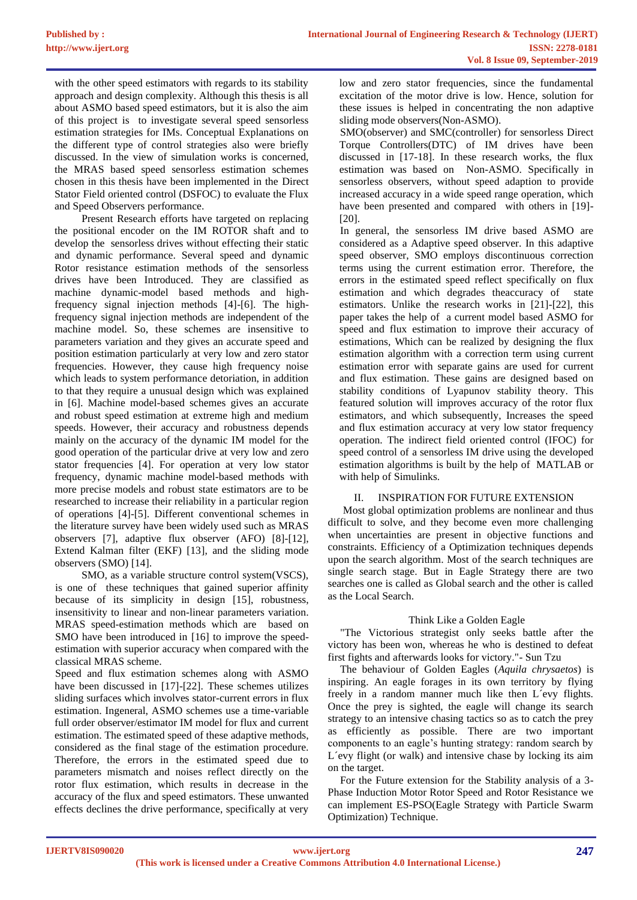with the other speed estimators with regards to its stability approach and design complexity. Although this thesis is all about ASMO based speed estimators, but it is also the aim of this project is to investigate several speed sensorless estimation strategies for IMs. Conceptual Explanations on the different type of control strategies also were briefly discussed. In the view of simulation works is concerned, the MRAS based speed sensorless estimation schemes chosen in this thesis have been implemented in the Direct Stator Field oriented control (DSFOC) to evaluate the Flux and Speed Observers performance.

Present Research efforts have targeted on replacing the positional encoder on the IM ROTOR shaft and to develop the sensorless drives without effecting their static and dynamic performance. Several speed and dynamic Rotor resistance estimation methods of the sensorless drives have been Introduced. They are classified as machine dynamic-model based methods and highfrequency signal injection methods [4]-[6]. The highfrequency signal injection methods are independent of the machine model. So, these schemes are insensitive to parameters variation and they gives an accurate speed and position estimation particularly at very low and zero stator frequencies. However, they cause high frequency noise which leads to system performance detoriation, in addition to that they require a unusual design which was explained in [6]. Machine model-based schemes gives an accurate and robust speed estimation at extreme high and medium speeds. However, their accuracy and robustness depends mainly on the accuracy of the dynamic IM model for the good operation of the particular drive at very low and zero stator frequencies [4]. For operation at very low stator frequency, dynamic machine model-based methods with more precise models and robust state estimators are to be researched to increase their reliability in a particular region of operations [4]-[5]. Different conventional schemes in the literature survey have been widely used such as MRAS observers [7], adaptive flux observer (AFO) [8]-[12], Extend Kalman filter (EKF) [13], and the sliding mode observers (SMO) [14].

SMO, as a variable structure control system(VSCS), is one of these techniques that gained superior affinity because of its simplicity in design [15], robustness, insensitivity to linear and non-linear parameters variation. MRAS speed-estimation methods which are based on SMO have been introduced in [16] to improve the speedestimation with superior accuracy when compared with the classical MRAS scheme.

Speed and flux estimation schemes along with ASMO have been discussed in [17]-[22]. These schemes utilizes sliding surfaces which involves stator-current errors in flux estimation. Ingeneral, ASMO schemes use a time-variable full order observer/estimator IM model for flux and current estimation. The estimated speed of these adaptive methods, considered as the final stage of the estimation procedure. Therefore, the errors in the estimated speed due to parameters mismatch and noises reflect directly on the rotor flux estimation, which results in decrease in the accuracy of the flux and speed estimators. These unwanted effects declines the drive performance, specifically at very

low and zero stator frequencies, since the fundamental excitation of the motor drive is low. Hence, solution for these issues is helped in concentrating the non adaptive sliding mode observers(Non-ASMO).

SMO(observer) and SMC(controller) for sensorless Direct Torque Controllers(DTC) of IM drives have been discussed in [17-18]. In these research works, the flux estimation was based on Non-ASMO. Specifically in sensorless observers, without speed adaption to provide increased accuracy in a wide speed range operation, which have been presented and compared with others in [19]- [20].

In general, the sensorless IM drive based ASMO are considered as a Adaptive speed observer. In this adaptive speed observer, SMO employs discontinuous correction terms using the current estimation error. Therefore, the errors in the estimated speed reflect specifically on flux estimation and which degrades theaccuracy of state estimators. Unlike the research works in [21]-[22], this paper takes the help of a current model based ASMO for speed and flux estimation to improve their accuracy of estimations, Which can be realized by designing the flux estimation algorithm with a correction term using current estimation error with separate gains are used for current and flux estimation. These gains are designed based on stability conditions of Lyapunov stability theory. This featured solution will improves accuracy of the rotor flux estimators, and which subsequently, Increases the speed and flux estimation accuracy at very low stator frequency operation. The indirect field oriented control (IFOC) for speed control of a sensorless IM drive using the developed estimation algorithms is built by the help of MATLAB or with help of Simulinks.

# INSPIRATION FOR FUTURE EXTENSION

Most global optimization problems are nonlinear and thus difficult to solve, and they become even more challenging when uncertainties are present in objective functions and constraints. Efficiency of a Optimization techniques depends upon the search algorithm. Most of the search techniques are single search stage. But in Eagle Strategy there are two searches one is called as Global search and the other is called as the Local Search.

# Think Like a Golden Eagle

"The Victorious strategist only seeks battle after the victory has been won, whereas he who is destined to defeat first fights and afterwards looks for victory."- Sun Tzu

The behaviour of Golden Eagles (*Aquila chrysaetos*) is inspiring. An eagle forages in its own territory by flying freely in a random manner much like then L´evy flights. Once the prey is sighted, the eagle will change its search strategy to an intensive chasing tactics so as to catch the prey as efficiently as possible. There are two important components to an eagle's hunting strategy: random search by L´evy flight (or walk) and intensive chase by locking its aim on the target.

For the Future extension for the Stability analysis of a 3- Phase Induction Motor Rotor Speed and Rotor Resistance we can implement ES-PSO(Eagle Strategy with Particle Swarm Optimization) Technique.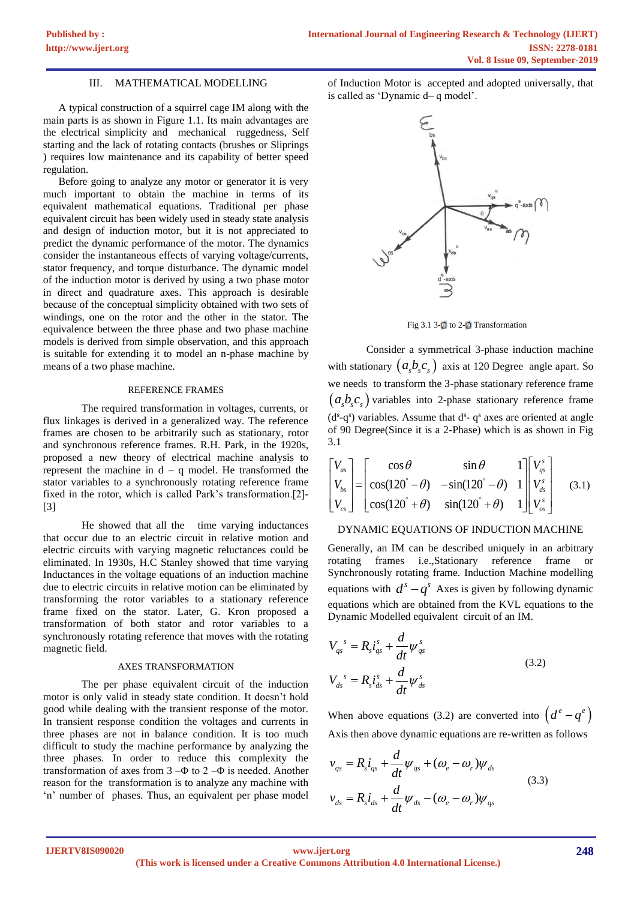## III. MATHEMATICAL MODELLING

A typical construction of a squirrel cage IM along with the main parts is as shown in Figure 1.1. Its main advantages are the electrical simplicity and mechanical ruggedness, Self starting and the lack of rotating contacts (brushes or Sliprings ) requires low maintenance and its capability of better speed regulation.

Before going to analyze any motor or generator it is very much important to obtain the machine in terms of its equivalent mathematical equations. Traditional per phase equivalent circuit has been widely used in steady state analysis and design of induction motor, but it is not appreciated to predict the dynamic performance of the motor. The dynamics consider the instantaneous effects of varying voltage/currents, stator frequency, and torque disturbance. The dynamic model of the induction motor is derived by using a two phase motor in direct and quadrature axes. This approach is desirable because of the conceptual simplicity obtained with two sets of windings, one on the rotor and the other in the stator. The equivalence between the three phase and two phase machine models is derived from simple observation, and this approach is suitable for extending it to model an n-phase machine by means of a two phase machine.

#### REFERENCE FRAMES

The required transformation in voltages, currents, or flux linkages is derived in a generalized way. The reference frames are chosen to be arbitrarily such as stationary, rotor and synchronous reference frames. R.H. Park, in the 1920s, proposed a new theory of electrical machine analysis to represent the machine in  $d - q$  model. He transformed the stator variables to a synchronously rotating reference frame fixed in the rotor, which is called Park's transformation.[2]- [3]

He showed that all the time varying inductances that occur due to an electric circuit in relative motion and electric circuits with varying magnetic reluctances could be eliminated. In 1930s, H.C Stanley showed that time varying Inductances in the voltage equations of an induction machine due to electric circuits in relative motion can be eliminated by transforming the rotor variables to a stationary reference frame fixed on the stator. Later, G. Kron proposed a transformation of both stator and rotor variables to a synchronously rotating reference that moves with the rotating magnetic field.

#### AXES TRANSFORMATION

The per phase equivalent circuit of the induction motor is only valid in steady state condition. It doesn't hold good while dealing with the transient response of the motor. In transient response condition the voltages and currents in three phases are not in balance condition. It is too much difficult to study the machine performance by analyzing the three phases. In order to reduce this complexity the transformation of axes from  $3-\Phi$  to  $2-\Phi$  is needed. Another reason for the transformation is to analyze any machine with 'n' number of phases. Thus, an equivalent per phase model of Induction Motor is accepted and adopted universally, that is called as 'Dynamic d– q model'.



Fig 3.1 3- $\emptyset$  to 2- $\emptyset$  Transformation

Consider a symmetrical 3-phase induction machine with stationary  $(a_s b_s c_s)$  axis at 120 Degree angle apart. So we needs to transform the 3-phase stationary reference frame  $(a<sub>s</sub>b<sub>s</sub>c<sub>s</sub>)$  variables into 2-phase stationary reference frame  $(d<sup>s</sup>-q<sup>s</sup>)$  variables. Assume that  $d<sup>s</sup> - q<sup>s</sup>$  axes are oriented at angle of 90 Degree(Since it is a 2-Phase) which is as shown in Fig 3.1

3.1  
\n
$$
\begin{bmatrix}\nV_{as} \\
V_{bs} \\
V_{cs}\n\end{bmatrix} = \begin{bmatrix}\n\cos\theta & \sin\theta & 1 \\
\cos(120^\circ - \theta) & -\sin(120^\circ - \theta) & 1 \\
\cos(120^\circ + \theta) & \sin(120^\circ + \theta) & 1\n\end{bmatrix} \begin{bmatrix}\nV_{gs}^s \\
V_{ds}^s \\
V_{os}^s\n\end{bmatrix}
$$
\n(3.1)

#### DYNAMIC EQUATIONS OF INDUCTION MACHINE

Generally, an IM can be described uniquely in an arbitrary rotating frames i.e.,Stationary reference frame or Synchronously rotating frame. Induction Machine modelling equations with  $d^s - q^s$  Axes is given by following dynamic equations which are obtained from the KVL equations to the Dynamic Modelled equivalent circuit of an IM.

$$
V_{qs}^{s} = R_{s}i_{qs}^{s} + \frac{d}{dt}\psi_{qs}^{s}
$$
  

$$
V_{ds}^{s} = R_{s}i_{ds}^{s} + \frac{d}{dt}\psi_{ds}^{s}
$$
 (3.2)

When above equations (3.2) are converted into  $(d^e - q^e)$ Axis then above dynamic equations are re-written as follows

$$
v_{qs} = R_s i_{qs} + \frac{d}{dt} \psi_{qs} + (\omega_e - \omega_r) \psi_{ds}
$$
  

$$
v_{ds} = R_s i_{ds} + \frac{d}{dt} \psi_{ds} - (\omega_e - \omega_r) \psi_{qs}
$$
 (3.3)

**IJERTV8IS090020**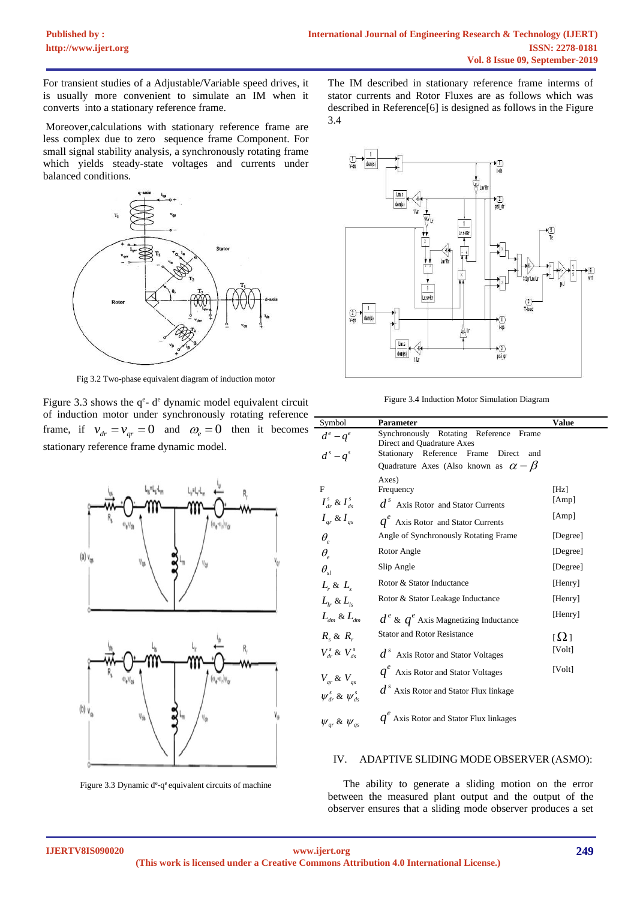For transient studies of a Adjustable/Variable speed drives, it is usually more convenient to simulate an IM when it converts into a stationary reference frame.

Moreover,calculations with stationary reference frame are less complex due to zero sequence frame Component. For small signal stability analysis, a synchronously rotating frame which yields steady-state voltages and currents under balanced conditions.



Fig 3.2 Two-phase equivalent diagram of induction motor

Figure 3.3 shows the  $q^e$ -  $d^e$  dynamic model equivalent circuit of induction motor under synchronously rotating reference frame, if  $v_{dr} = v_{qr} = 0$  and  $\omega_e = 0$  then it becomes stationary reference frame dynamic model.



Figure 3.3 Dynamic de-qe equivalent circuits of machine

The IM described in stationary reference frame interms of stator currents and Rotor Fluxes are as follows which was described in Reference[6] is designed as follows in the Figure 3.4



Figure 3.4 Induction Motor Simulation Diagram

| Symbol                                                                                                  | Parameter                                                                                                              | Value                 |
|---------------------------------------------------------------------------------------------------------|------------------------------------------------------------------------------------------------------------------------|-----------------------|
| $d^e - q^e$<br>$d^{s}-q^{s}$                                                                            | Synchronously Rotating Reference<br>Frame<br>Direct and Quadrature Axes<br>Stationary Reference Frame<br>Direct<br>and |                       |
|                                                                                                         | Quadrature Axes (Also known as $\alpha - \beta$                                                                        |                       |
| F<br>$I_{dr}^s \& I_{ds}^s$                                                                             | Axes)<br>Frequency<br>$ds$ Axis Rotor and Stator Currents                                                              | [Hz]<br>[Amp]         |
| $I_{ar} \& I_{as}$                                                                                      | $q^e$ Axis Rotor and Stator Currents                                                                                   | [Amp]                 |
| $\theta_{\scriptscriptstyle\circ}$                                                                      | Angle of Synchronously Rotating Frame                                                                                  | [Degree]              |
| $\theta_{\scriptscriptstyle\rm e}$                                                                      | Rotor Angle                                                                                                            | [Degree]              |
| $\theta_{sl}$                                                                                           | Slip Angle                                                                                                             | [Degree]              |
| $L_{\rm r}$ & $L_{\rm s}$                                                                               | Rotor & Stator Inductance                                                                                              | [Henry]               |
| $L_{1r}$ & $L_{1s}$                                                                                     | Rotor & Stator Leakage Inductance                                                                                      | [Henry]               |
| $L_{dm}$ & $L_{dm}$                                                                                     | $d^e \& q^e$ Axis Magnetizing Inductance                                                                               | [Henry]               |
| $R_{\scriptscriptstyle\circ} \& R_{\scriptscriptstyle\circ}$                                            | <b>Stator and Rotor Resistance</b>                                                                                     | $\left[\Omega\right]$ |
| $V_{\scriptscriptstyle dr}^{\scriptscriptstyle s}$ & $V_{\scriptscriptstyle ds}^{\scriptscriptstyle s}$ | $ds$ Axis Rotor and Stator Voltages                                                                                    | [Volt]                |
| $V_{ar}$ & $V_{as}$                                                                                     | $q^e$ Axis Rotor and Stator Voltages                                                                                   | [Volt]                |
| $\psi^s_{\mu}$ & $\psi^s_{\mu}$                                                                         | $ds$ Axis Rotor and Stator Flux linkage                                                                                |                       |
| $\psi_{ar}$ & $\psi_{as}$                                                                               | $q^e$ Axis Rotor and Stator Flux linkages                                                                              |                       |

#### IV. ADAPTIVE SLIDING MODE OBSERVER (ASMO):

The ability to generate a sliding motion on the error between the measured plant output and the output of the observer ensures that a sliding mode observer produces a set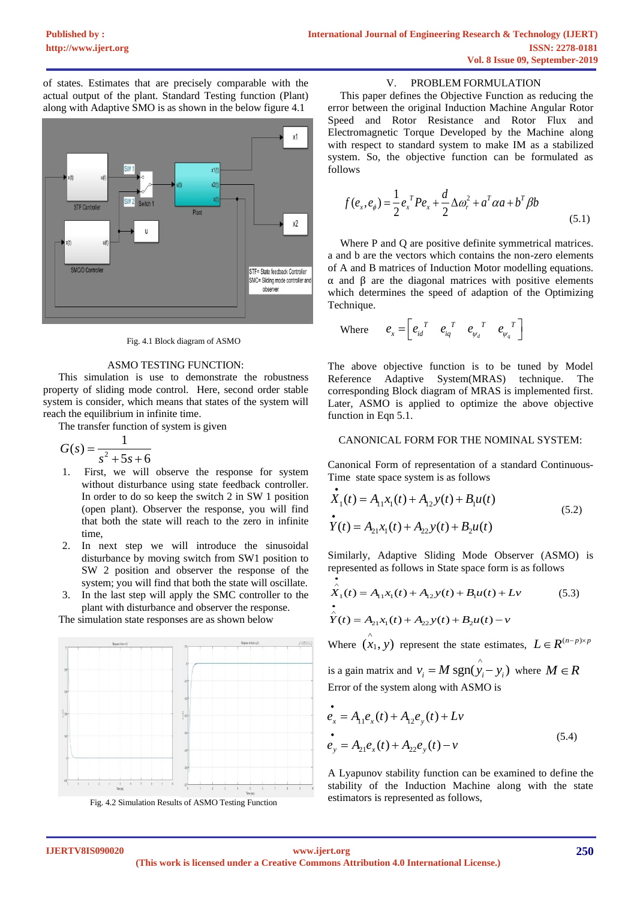of states. Estimates that are precisely comparable with the actual output of the plant. Standard Testing function (Plant) along with Adaptive SMO is as shown in the below figure 4.1



Fig. 4.1 Block diagram of ASMO

## ASMO TESTING FUNCTION:

This simulation is use to demonstrate the robustness property of sliding mode control. Here, second order stable system is consider, which means that states of the system will reach the equilibrium in infinite time.

The transfer function of system is given

$$
G(s) = \frac{1}{s^2 + 5s + 6}
$$

- 1. First, we will observe the response for system without disturbance using state feedback controller. In order to do so keep the switch 2 in SW 1 position (open plant). Observer the response, you will find that both the state will reach to the zero in infinite time,
- 2. In next step we will introduce the sinusoidal disturbance by moving switch from SW1 position to SW 2 position and observer the response of the system; you will find that both the state will oscillate.
- 3. In the last step will apply the SMC controller to the plant with disturbance and observer the response.

The simulation state responses are as shown below





## V. PROBLEM FORMULATION

This paper defines the Objective Function as reducing the error between the original Induction Machine Angular Rotor Speed and Rotor Resistance and Rotor Flux and Electromagnetic Torque Developed by the Machine along with respect to standard system to make IM as a stabilized system. So, the objective function can be formulated as follows

$$
f(e_x, e_{\phi}) = \frac{1}{2} e_x^T P e_x + \frac{d}{2} \Delta \omega_r^2 + a^T \alpha a + b^T \beta b
$$
\n(5.1)

Where P and O are positive definite symmetrical matrices. a and b are the vectors which contains the non-zero elements of A and B matrices of Induction Motor modelling equations. α and β are the diagonal matrices with positive elements which determines the speed of adaption of the Optimizing Technique.

Where 
$$
e_x = \begin{bmatrix} e_{id}^T & e_{iq}^T & e_{\psi_d}^T & e_{\psi_q}^T \end{bmatrix}
$$

The above objective function is to be tuned by Model Reference Adaptive System(MRAS) technique. The corresponding Block diagram of MRAS is implemented first. Later, ASMO is applied to optimize the above objective function in Eqn 5.1.

## CANONICAL FORM FOR THE NOMINAL SYSTEM:

Canonical Form of representation of a standard Continuous-Time state space system is as follows

$$
\dot{X}_1(t) = A_{11}x_1(t) + A_{12}y(t) + B_1u(t)
$$
\n
$$
\dot{Y}(t) = A_{21}x_1(t) + A_{22}y(t) + B_2u(t)
$$
\n(5.2)

Similarly, Adaptive Sliding Mode Observer (ASMO) is

represented as follows in State space form is as follows  
\n
$$
\hat{X}_1(t) = A_{11}x_1(t) + A_{12}y(t) + B_1u(t) + Lv
$$
\n(5.3)\n
$$
\hat{Y}(t) = A_{21}x_1(t) + A_{22}y(t) + B_2u(t) - v
$$

Where  $(x_1, y)$ represent the state estimates,  $L \in R^{(n-p)\times p}$ 

is a gain matrix and  $v_i = M \text{ sgn}(\hat{y}_i - y_i)$  where  $M \in R$ Error of the system along with ASMO is

$$
\begin{aligned}\n\dot{e}_x &= A_{11} e_x(t) + A_{12} e_y(t) + Lv \\
\dot{e}_y &= A_{21} e_x(t) + A_{22} e_y(t) - v\n\end{aligned} \tag{5.4}
$$

A Lyapunov stability function can be examined to define the stability of the Induction Machine along with the state estimators is represented as follows,

•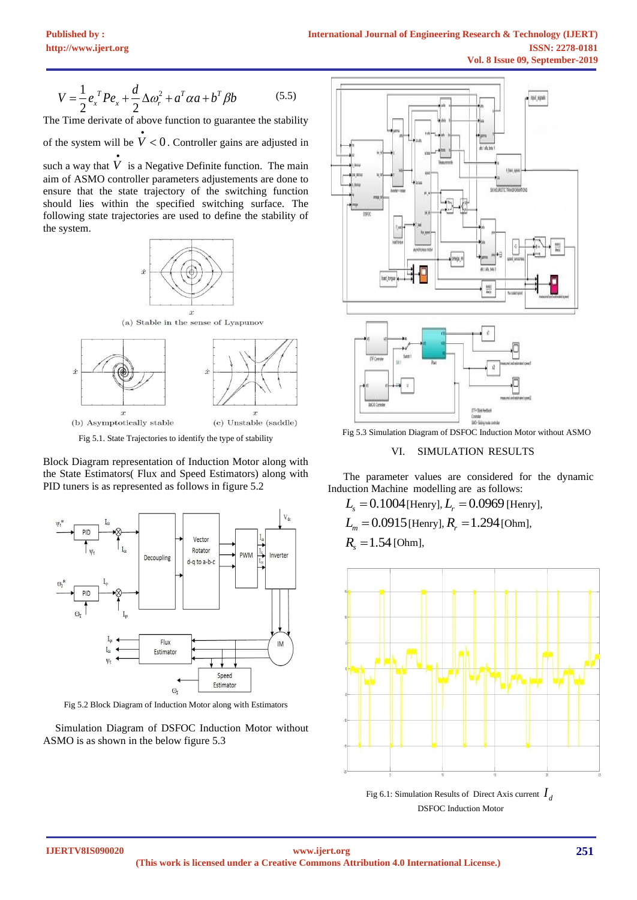$$
V = \frac{1}{2} e_x^T P e_x + \frac{d}{2} \Delta \omega_r^2 + a^T \alpha a + b^T \beta b
$$
 (5.5)  
The Time derivative of above function to guarantee the stability

of the system will be  $\dot{V} < 0$ . Controller gains are adjusted in

such a way that *V* • is a Negative Definite function. The main aim of ASMO controller parameters adjustements are done to ensure that the state trajectory of the switching function should lies within the specified switching surface. The following state trajectories are used to define the stability of the system.





Block Diagram representation of Induction Motor along with the State Estimators( Flux and Speed Estimators) along with PID tuners is as represented as follows in figure 5.2



Fig 5.2 Block Diagram of Induction Motor along with Estimators

Simulation Diagram of DSFOC Induction Motor without ASMO is as shown in the below figure 5.3



Fig 5.3 Simulation Diagram of DSFOC Induction Motor without ASMO

# VI. SIMULATION RESULTS

The parameter values are considered for the dynamic Induction Machine modelling are as follows:

 $L_{\rm s} = 0.1004$  [Henry],  $L_{\rm r} = 0.0969$  [Henry],

 $L_m = 0.0915$  [Henry],  $R_r = 1.294$  [Ohm],

 $R_s = 1.54$  *[Ohm]*,



DSFOC Induction Motor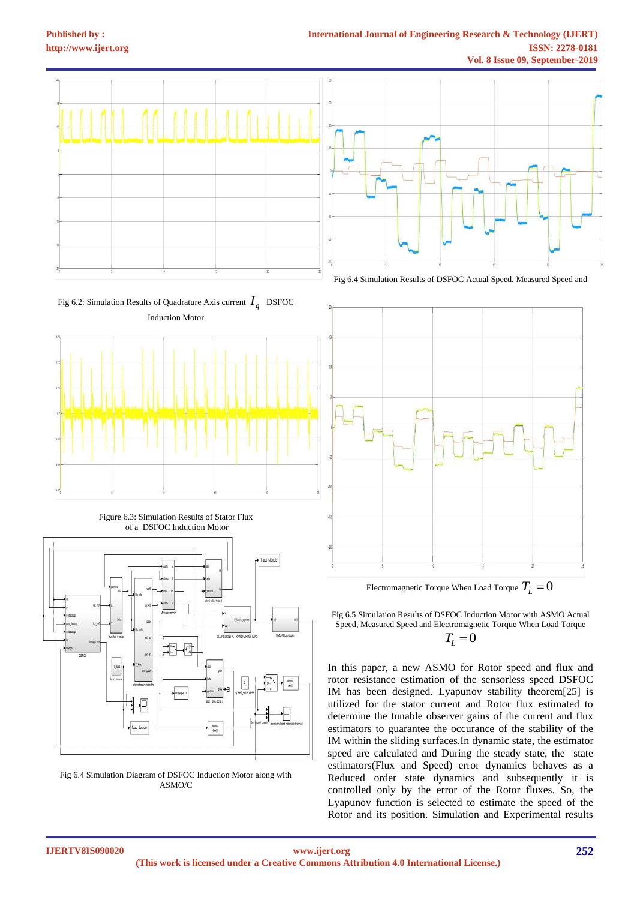

Fig 6.2: Simulation Results of Quadrature Axis current  $I_q$  DSFOC Induction Motor



Figure 6.3: Simulation Results of Stator Flux of a DSFOC Induction Motor



Fig 6.4 Simulation Diagram of DSFOC Induction Motor along with ASMO/C



Fig 6.4 Simulation Results of DSFOC Actual Speed, Measured Speed and



Electromagnetic Torque When Load Torque  $T_{L}^{\phantom{\dag}}=0$ 

Fig 6.5 Simulation Results of DSFOC Induction Motor with ASMO Actual Speed, Measured Speed and Electromagnetic Torque When Load Torque  $T_{L} = 0$ 

In this paper, a new ASMO for Rotor speed and flux and rotor resistance estimation of the sensorless speed DSFOC IM has been designed. Lyapunov stability theorem[25] is utilized for the stator current and Rotor flux estimated to determine the tunable observer gains of the current and flux estimators to guarantee the occurance of the stability of the IM within the sliding surfaces.In dynamic state, the estimator speed are calculated and During the steady state, the state estimators(Flux and Speed) error dynamics behaves as a Reduced order state dynamics and subsequently it is controlled only by the error of the Rotor fluxes. So, the Lyapunov function is selected to estimate the speed of the Rotor and its position. Simulation and Experimental results